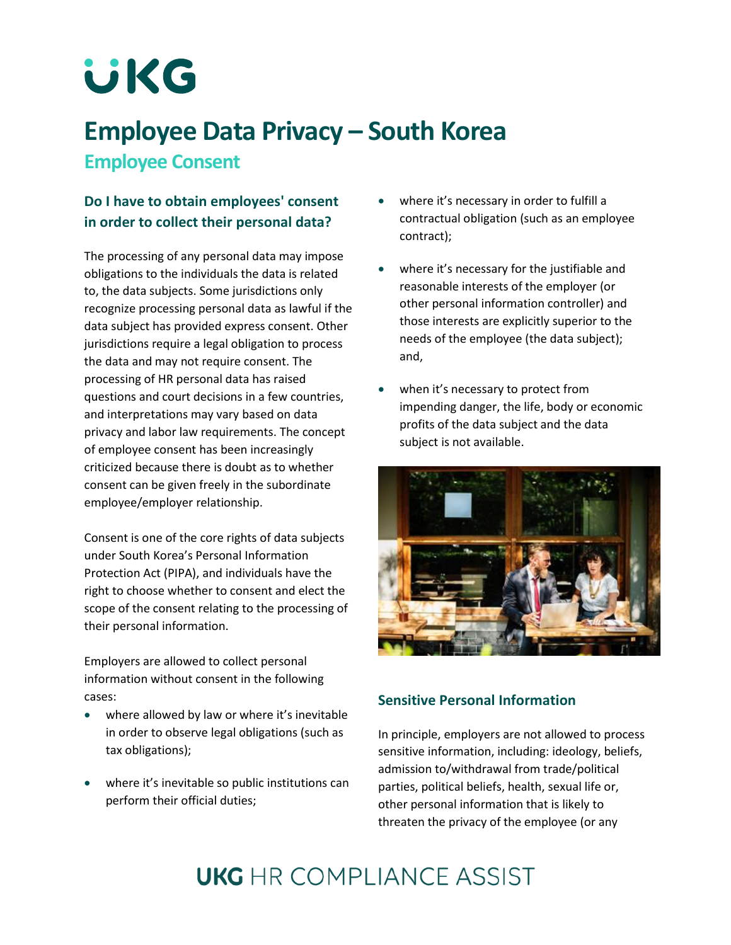# **UKG**

### **Employee Data Privacy – South Korea Employee Consent**

#### **Do I have to obtain employees' consent in order to collect their personal data?**

The processing of any personal data may impose obligations to the individuals the data is related to, the data subjects. Some jurisdictions only recognize processing personal data as lawful if the data subject has provided express consent. Other jurisdictions require a legal obligation to process the data and may not require consent. The processing of HR personal data has raised questions and court decisions in a few countries, and interpretations may vary based on data privacy and labor law requirements. The concept of employee consent has been increasingly criticized because there is doubt as to whether consent can be given freely in the subordinate employee/employer relationship.

Consent is one of the core rights of data subjects under South Korea's Personal Information Protection Act (PIPA), and individuals have the right to choose whether to consent and elect the scope of the consent relating to the processing of their personal information.

Employers are allowed to collect personal information without consent in the following cases:

- where allowed by law or where it's inevitable in order to observe legal obligations (such as tax obligations);
- where it's inevitable so public institutions can perform their official duties;
- where it's necessary in order to fulfill a contractual obligation (such as an employee contract);
- where it's necessary for the justifiable and reasonable interests of the employer (or other personal information controller) and those interests are explicitly superior to the needs of the employee (the data subject); and,
- when it's necessary to protect from impending danger, the life, body or economic profits of the data subject and the data subject is not available.



#### **Sensitive Personal Information**

In principle, employers are not allowed to process sensitive information, including: ideology, beliefs, admission to/withdrawal from trade/political parties, political beliefs, health, sexual life or, other personal information that is likely to threaten the privacy of the employee (or any

## **UKG** HR COMPI JANCE ASSIST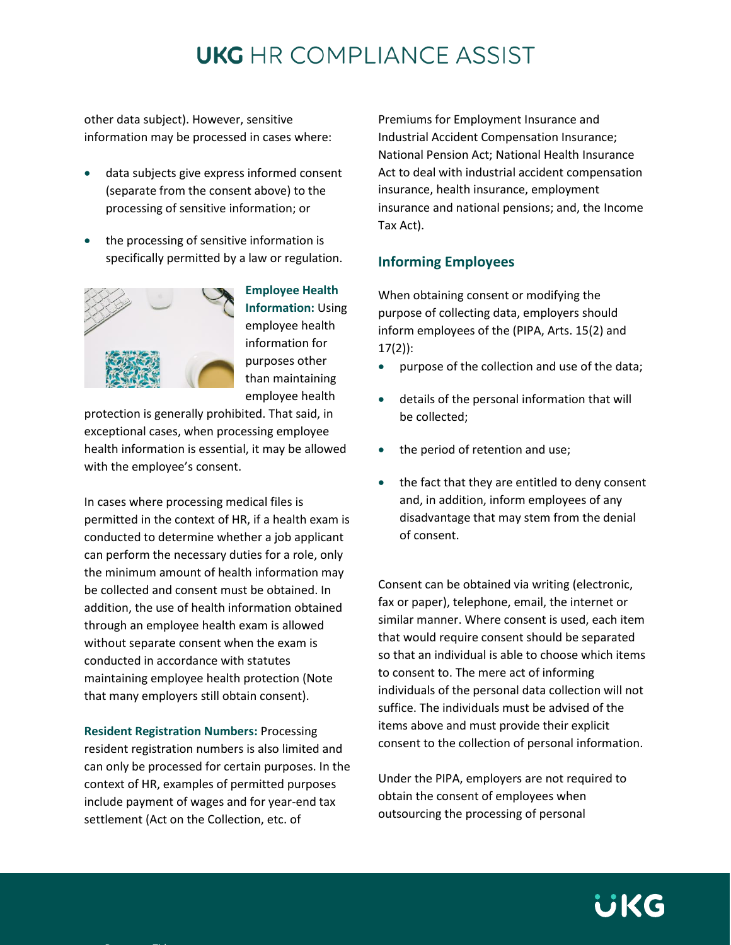### **UKG** HR COMPLIANCE ASSIST

other data subject). However, sensitive information may be processed in cases where:

- data subjects give express informed consent (separate from the consent above) to the processing of sensitive information; or
- the processing of sensitive information is specifically permitted by a law or regulation.



**Employee Health Information:** Using employee health information for purposes other than maintaining employee health

protection is generally prohibited. That said, in exceptional cases, when processing employee health information is essential, it may be allowed with the employee's consent.

In cases where processing medical files is permitted in the context of HR, if a health exam is conducted to determine whether a job applicant can perform the necessary duties for a role, only the minimum amount of health information may be collected and consent must be obtained. In addition, the use of health information obtained through an employee health exam is allowed without separate consent when the exam is conducted in accordance with statutes maintaining employee health protection (Note that many employers still obtain consent).

**Resident Registration Numbers:** Processing resident registration numbers is also limited and can only be processed for certain purposes. In the context of HR, examples of permitted purposes include payment of wages and for year-end tax settlement (Act on the Collection, etc. of

Premiums for Employment Insurance and Industrial Accident Compensation Insurance; National Pension Act; National Health Insurance Act to deal with industrial accident compensation insurance, health insurance, employment insurance and national pensions; and, the Income Tax Act).

#### **Informing Employees**

When obtaining consent or modifying the purpose of collecting data, employers should inform employees of the (PIPA, Arts. 15(2) and 17(2)):

- purpose of the collection and use of the data;
- details of the personal information that will be collected;
- the period of retention and use;
- the fact that they are entitled to deny consent and, in addition, inform employees of any disadvantage that may stem from the denial of consent.

Consent can be obtained via writing (electronic, fax or paper), telephone, email, the internet or similar manner. Where consent is used, each item that would require consent should be separated so that an individual is able to choose which items to consent to. The mere act of informing individuals of the personal data collection will not suffice. The individuals must be advised of the items above and must provide their explicit consent to the collection of personal information.

Under the PIPA, employers are not required to obtain the consent of employees when outsourcing the processing of personal